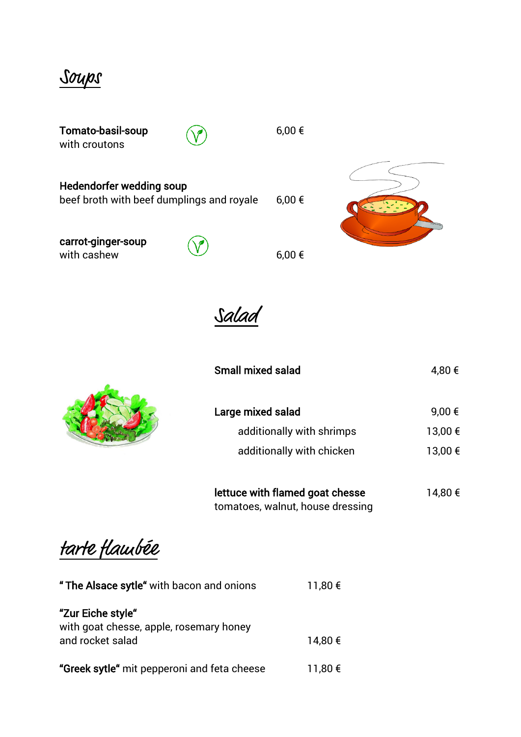Soups

| Tomato-basil-soup<br>with croutons                                    | $6,00 \in$ |  |
|-----------------------------------------------------------------------|------------|--|
| Hedendorfer wedding soup<br>beef broth with beef dumplings and royale | $6,00 \in$ |  |
| carrot-ginger-soup<br>with cashew                                     | $6,00 \in$ |  |





| Large mixed salad         | 9,00 €      |
|---------------------------|-------------|
| additionally with shrimps | 13,00 €     |
| additionally with chicken | $13,00 \in$ |

| lettuce with flamed goat chesse  | 14,80 € |
|----------------------------------|---------|
| tomatoes, walnut, house dressing |         |

tarte flambée

| " The Alsace sytle" with bacon and onions                                        | 11,80 € |
|----------------------------------------------------------------------------------|---------|
| "Zur Eiche style"<br>with goat chesse, apple, rosemary honey<br>and rocket salad | 14,80 € |
| "Greek sytle" mit pepperoni and feta cheese                                      | 11,80 € |

Small mixed salad  $4,80 \in$ 

 $\sqrt{2\sqrt{2}}$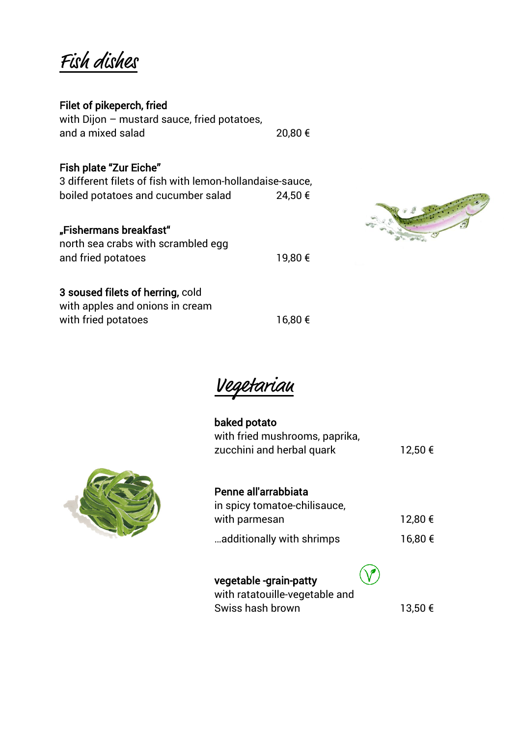Fish dishes

### Filet of pikeperch, fried

with Dijon – mustard sauce, fried potatoes, and a mixed salad 20,80 €

### Fish plate "Zur Eiche"

3 different filets of fish with lemon-hollandaise-sauce, boiled potatoes and cucumber salad 24,50 €

#### "Fishermans breakfast"

| north sea crabs with scrambled egg |         |
|------------------------------------|---------|
| and fried potatoes                 | 19,80 € |



### 3 soused filets of herring, cold

with apples and onions in cream with fried potatoes 16,80  $\epsilon$ 

Vegetarian

| baked potato<br>with fried mushrooms, paprika,<br>zucchini and herbal quark  | 12,50 € |
|------------------------------------------------------------------------------|---------|
| Penne all'arrabbiata<br>in spicy tomatoe-chilisauce,<br>with parmesan        | 12,80 € |
| additionally with shrimps                                                    | 16,80 € |
| vegetable -grain-patty<br>with ratatouille-vegetable and<br>Swiss hash brown | 13,50 € |

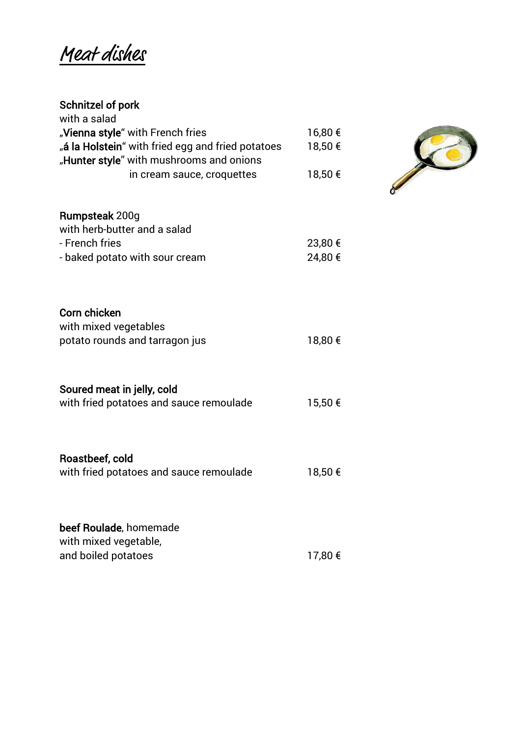Meat dishes

#### Schnitzel of pork

| 23,80 € |                                                     |
|---------|-----------------------------------------------------|
| 24,80 € |                                                     |
|         |                                                     |
|         |                                                     |
|         |                                                     |
|         |                                                     |
|         |                                                     |
|         |                                                     |
|         |                                                     |
|         |                                                     |
|         |                                                     |
|         |                                                     |
|         |                                                     |
|         |                                                     |
|         |                                                     |
| 18,50 € |                                                     |
|         |                                                     |
|         |                                                     |
|         |                                                     |
|         |                                                     |
| 17,80 € |                                                     |
|         | 16,80 €<br>18,50 €<br>18,50 €<br>18,80 €<br>15,50 € |

20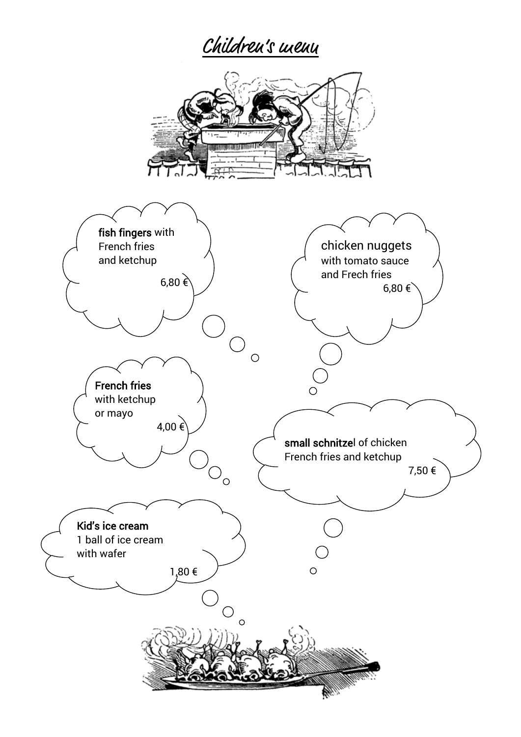